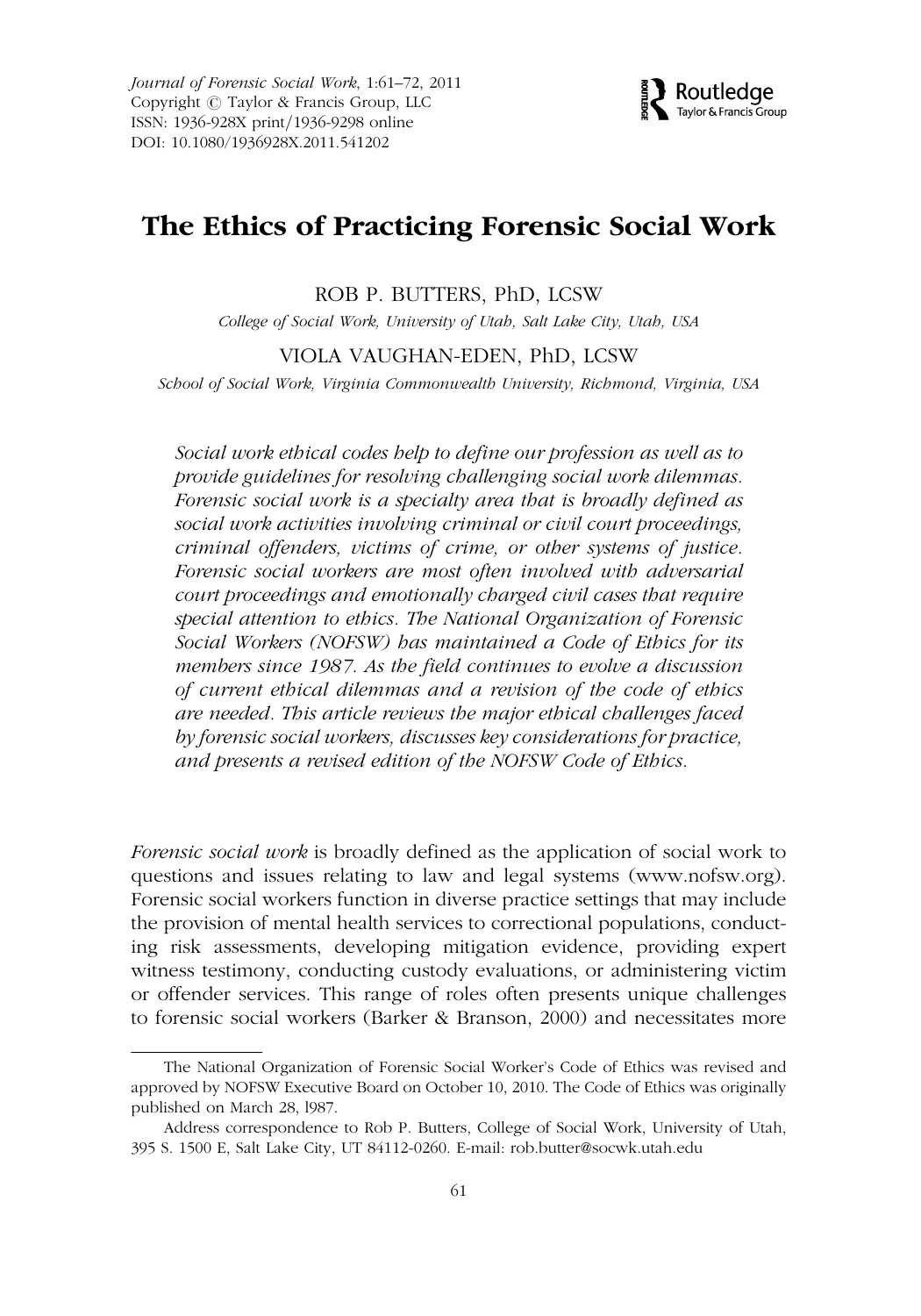

# The Ethics of Practicing Forensic Social Work

#### ROB P. BUTTERS, PhD, LCSW

College of Social Work, University of Utah, Salt Lake City, Utah, USA

#### VIOLA VAUGHAN-EDEN, PhD, LCSW

School of Social Work, Virginia Commonwealth University, Richmond, Virginia, USA

Social work ethical codes help to define our profession as well as to provide guidelines for resolving challenging social work dilemmas. Forensic social work is a specialty area that is broadly defined as social work activities involving criminal or civil court proceedings, criminal offenders, victims of crime, or other systems of justice. Forensic social workers are most often involved with adversarial court proceedings and emotionally charged civil cases that require special attention to ethics. The National Organization of Forensic Social Workers (NOFSW) has maintained a Code of Ethics for its members since 1987. As the field continues to evolve a discussion of current ethical dilemmas and a revision of the code of ethics are needed. This article reviews the major ethical challenges faced by forensic social workers, discusses key considerations for practice, and presents a revised edition of the NOFSW Code of Ethics.

Forensic social work is broadly defined as the application of social work to questions and issues relating to law and legal systems (www.nofsw.org). Forensic social workers function in diverse practice settings that may include the provision of mental health services to correctional populations, conducting risk assessments, developing mitigation evidence, providing expert witness testimony, conducting custody evaluations, or administering victim or offender services. This range of roles often presents unique challenges to forensic social workers (Barker & Branson, 2000) and necessitates more

The National Organization of Forensic Social Worker's Code of Ethics was revised and approved by NOFSW Executive Board on October 10, 2010. The Code of Ethics was originally published on March 28, l987.

Address correspondence to Rob P. Butters, College of Social Work, University of Utah, 395 S. 1500 E, Salt Lake City, UT 84112-0260. E-mail: rob.butter@socwk.utah.edu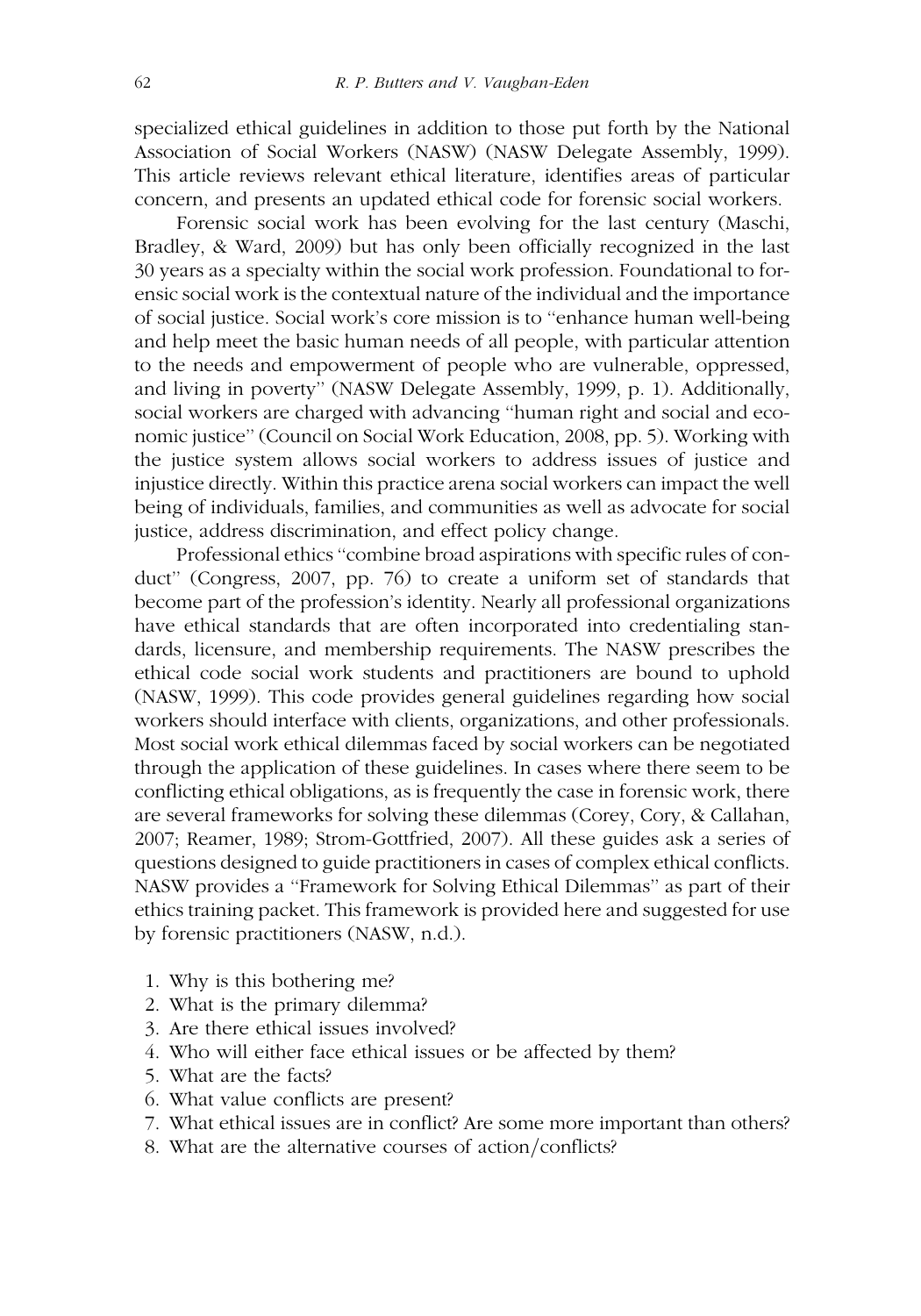specialized ethical guidelines in addition to those put forth by the National Association of Social Workers (NASW) (NASW Delegate Assembly, 1999). This article reviews relevant ethical literature, identifies areas of particular concern, and presents an updated ethical code for forensic social workers.

Forensic social work has been evolving for the last century (Maschi, Bradley, & Ward, 2009) but has only been officially recognized in the last 30 years as a specialty within the social work profession. Foundational to forensic social work is the contextual nature of the individual and the importance of social justice. Social work's core mission is to ''enhance human well-being and help meet the basic human needs of all people, with particular attention to the needs and empowerment of people who are vulnerable, oppressed, and living in poverty'' (NASW Delegate Assembly, 1999, p. 1). Additionally, social workers are charged with advancing ''human right and social and economic justice'' (Council on Social Work Education, 2008, pp. 5). Working with the justice system allows social workers to address issues of justice and injustice directly. Within this practice arena social workers can impact the well being of individuals, families, and communities as well as advocate for social justice, address discrimination, and effect policy change.

Professional ethics ''combine broad aspirations with specific rules of conduct'' (Congress, 2007, pp. 76) to create a uniform set of standards that become part of the profession's identity. Nearly all professional organizations have ethical standards that are often incorporated into credentialing standards, licensure, and membership requirements. The NASW prescribes the ethical code social work students and practitioners are bound to uphold (NASW, 1999). This code provides general guidelines regarding how social workers should interface with clients, organizations, and other professionals. Most social work ethical dilemmas faced by social workers can be negotiated through the application of these guidelines. In cases where there seem to be conflicting ethical obligations, as is frequently the case in forensic work, there are several frameworks for solving these dilemmas (Corey, Cory, & Callahan, 2007; Reamer, 1989; Strom-Gottfried, 2007). All these guides ask a series of questions designed to guide practitioners in cases of complex ethical conflicts. NASW provides a ''Framework for Solving Ethical Dilemmas'' as part of their ethics training packet. This framework is provided here and suggested for use by forensic practitioners (NASW, n.d.).

- 1. Why is this bothering me?
- 2. What is the primary dilemma?
- 3. Are there ethical issues involved?
- 4. Who will either face ethical issues or be affected by them?
- 5. What are the facts?
- 6. What value conflicts are present?
- 7. What ethical issues are in conflict? Are some more important than others?
- 8. What are the alternative courses of action/conflicts?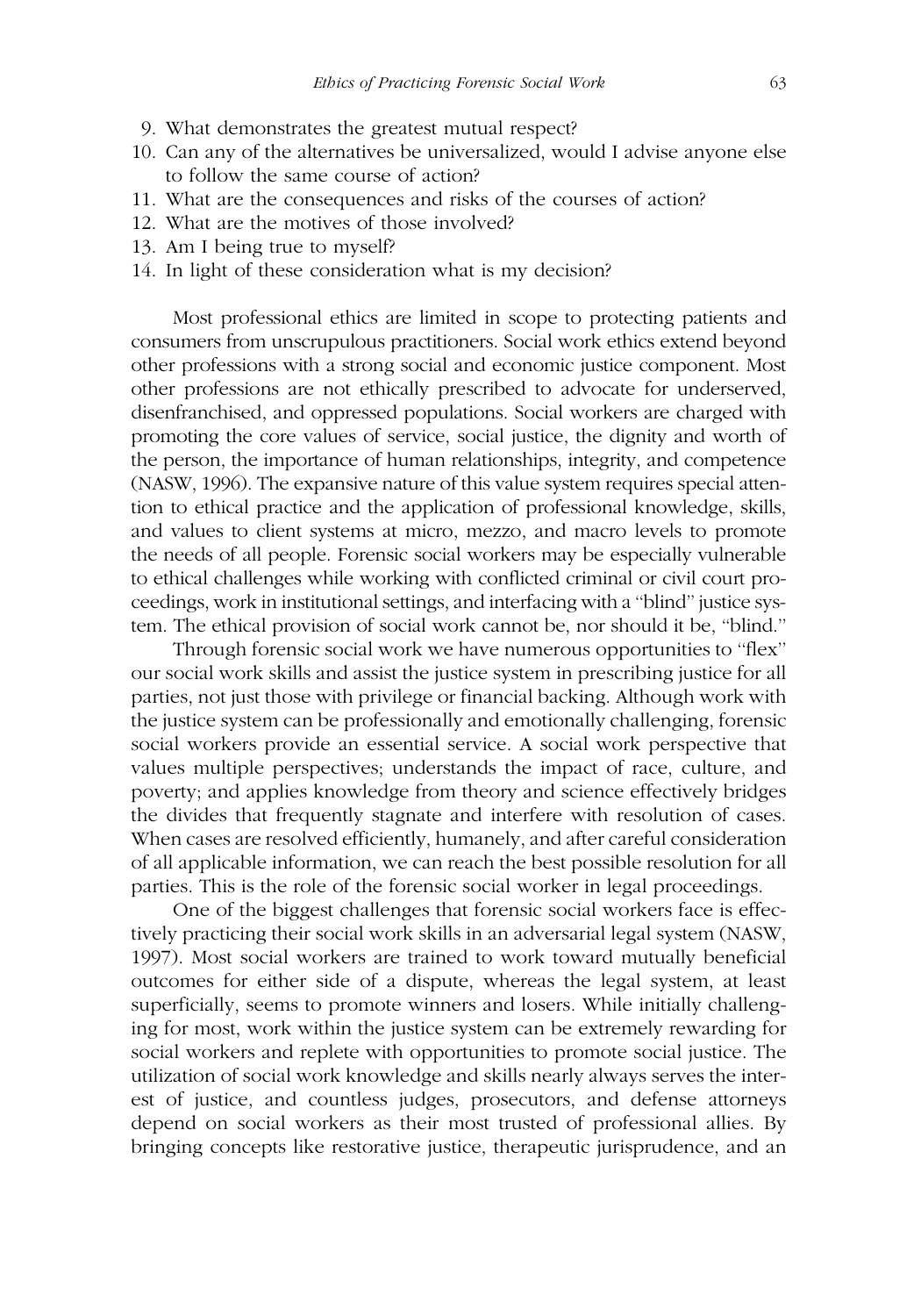- 9. What demonstrates the greatest mutual respect?
- 10. Can any of the alternatives be universalized, would I advise anyone else to follow the same course of action?
- 11. What are the consequences and risks of the courses of action?
- 12. What are the motives of those involved?
- 13. Am I being true to myself?
- 14. In light of these consideration what is my decision?

Most professional ethics are limited in scope to protecting patients and consumers from unscrupulous practitioners. Social work ethics extend beyond other professions with a strong social and economic justice component. Most other professions are not ethically prescribed to advocate for underserved, disenfranchised, and oppressed populations. Social workers are charged with promoting the core values of service, social justice, the dignity and worth of the person, the importance of human relationships, integrity, and competence (NASW, 1996). The expansive nature of this value system requires special attention to ethical practice and the application of professional knowledge, skills, and values to client systems at micro, mezzo, and macro levels to promote the needs of all people. Forensic social workers may be especially vulnerable to ethical challenges while working with conflicted criminal or civil court proceedings, work in institutional settings, and interfacing with a ''blind'' justice system. The ethical provision of social work cannot be, nor should it be, ''blind.''

Through forensic social work we have numerous opportunities to ''flex'' our social work skills and assist the justice system in prescribing justice for all parties, not just those with privilege or financial backing. Although work with the justice system can be professionally and emotionally challenging, forensic social workers provide an essential service. A social work perspective that values multiple perspectives; understands the impact of race, culture, and poverty; and applies knowledge from theory and science effectively bridges the divides that frequently stagnate and interfere with resolution of cases. When cases are resolved efficiently, humanely, and after careful consideration of all applicable information, we can reach the best possible resolution for all parties. This is the role of the forensic social worker in legal proceedings.

One of the biggest challenges that forensic social workers face is effectively practicing their social work skills in an adversarial legal system (NASW, 1997). Most social workers are trained to work toward mutually beneficial outcomes for either side of a dispute, whereas the legal system, at least superficially, seems to promote winners and losers. While initially challenging for most, work within the justice system can be extremely rewarding for social workers and replete with opportunities to promote social justice. The utilization of social work knowledge and skills nearly always serves the interest of justice, and countless judges, prosecutors, and defense attorneys depend on social workers as their most trusted of professional allies. By bringing concepts like restorative justice, therapeutic jurisprudence, and an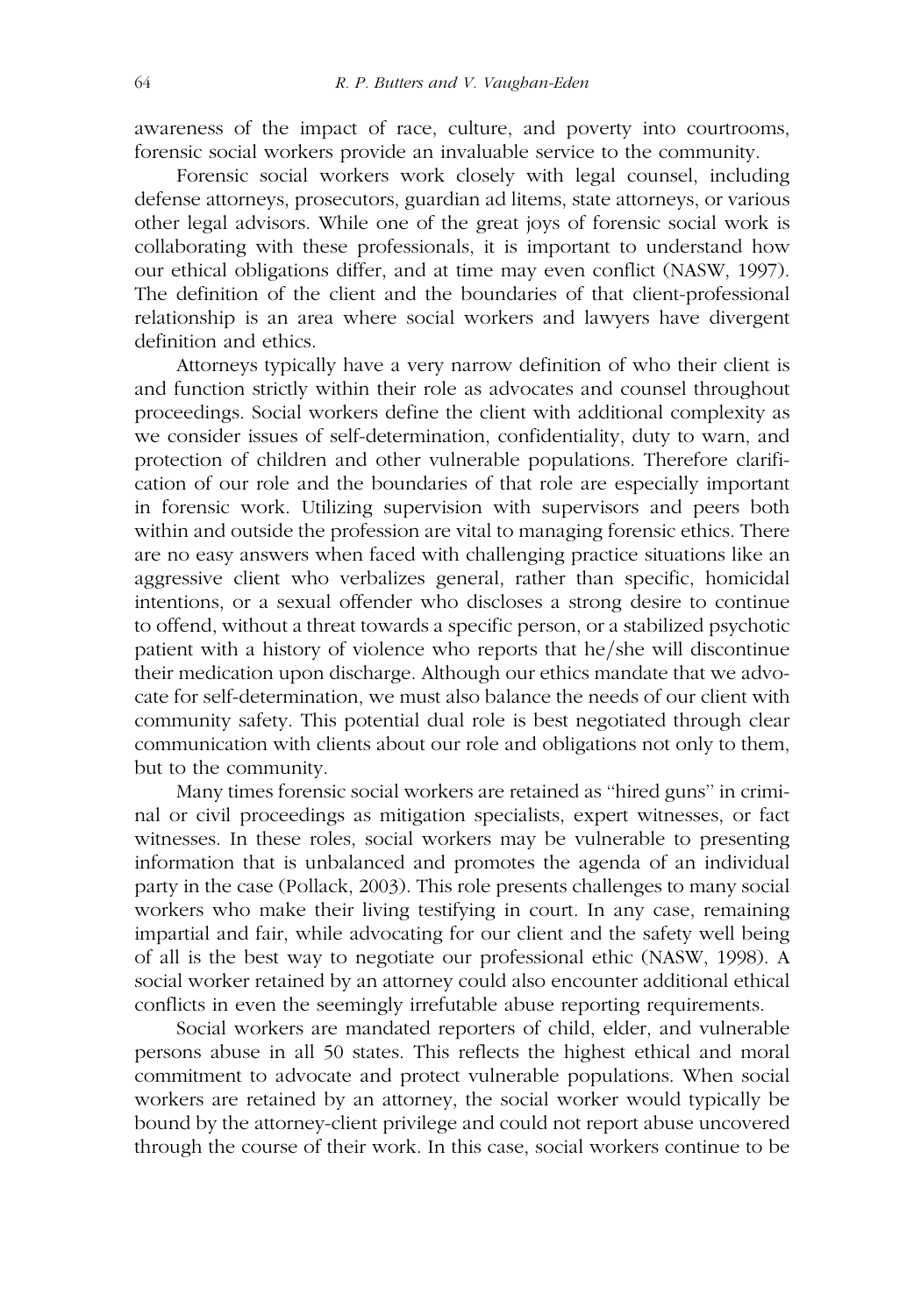awareness of the impact of race, culture, and poverty into courtrooms, forensic social workers provide an invaluable service to the community.

Forensic social workers work closely with legal counsel, including defense attorneys, prosecutors, guardian ad litems, state attorneys, or various other legal advisors. While one of the great joys of forensic social work is collaborating with these professionals, it is important to understand how our ethical obligations differ, and at time may even conflict (NASW, 1997). The definition of the client and the boundaries of that client-professional relationship is an area where social workers and lawyers have divergent definition and ethics.

Attorneys typically have a very narrow definition of who their client is and function strictly within their role as advocates and counsel throughout proceedings. Social workers define the client with additional complexity as we consider issues of self-determination, confidentiality, duty to warn, and protection of children and other vulnerable populations. Therefore clarification of our role and the boundaries of that role are especially important in forensic work. Utilizing supervision with supervisors and peers both within and outside the profession are vital to managing forensic ethics. There are no easy answers when faced with challenging practice situations like an aggressive client who verbalizes general, rather than specific, homicidal intentions, or a sexual offender who discloses a strong desire to continue to offend, without a threat towards a specific person, or a stabilized psychotic patient with a history of violence who reports that he/she will discontinue their medication upon discharge. Although our ethics mandate that we advocate for self-determination, we must also balance the needs of our client with community safety. This potential dual role is best negotiated through clear communication with clients about our role and obligations not only to them, but to the community.

Many times forensic social workers are retained as ''hired guns'' in criminal or civil proceedings as mitigation specialists, expert witnesses, or fact witnesses. In these roles, social workers may be vulnerable to presenting information that is unbalanced and promotes the agenda of an individual party in the case (Pollack, 2003). This role presents challenges to many social workers who make their living testifying in court. In any case, remaining impartial and fair, while advocating for our client and the safety well being of all is the best way to negotiate our professional ethic (NASW, 1998). A social worker retained by an attorney could also encounter additional ethical conflicts in even the seemingly irrefutable abuse reporting requirements.

Social workers are mandated reporters of child, elder, and vulnerable persons abuse in all 50 states. This reflects the highest ethical and moral commitment to advocate and protect vulnerable populations. When social workers are retained by an attorney, the social worker would typically be bound by the attorney-client privilege and could not report abuse uncovered through the course of their work. In this case, social workers continue to be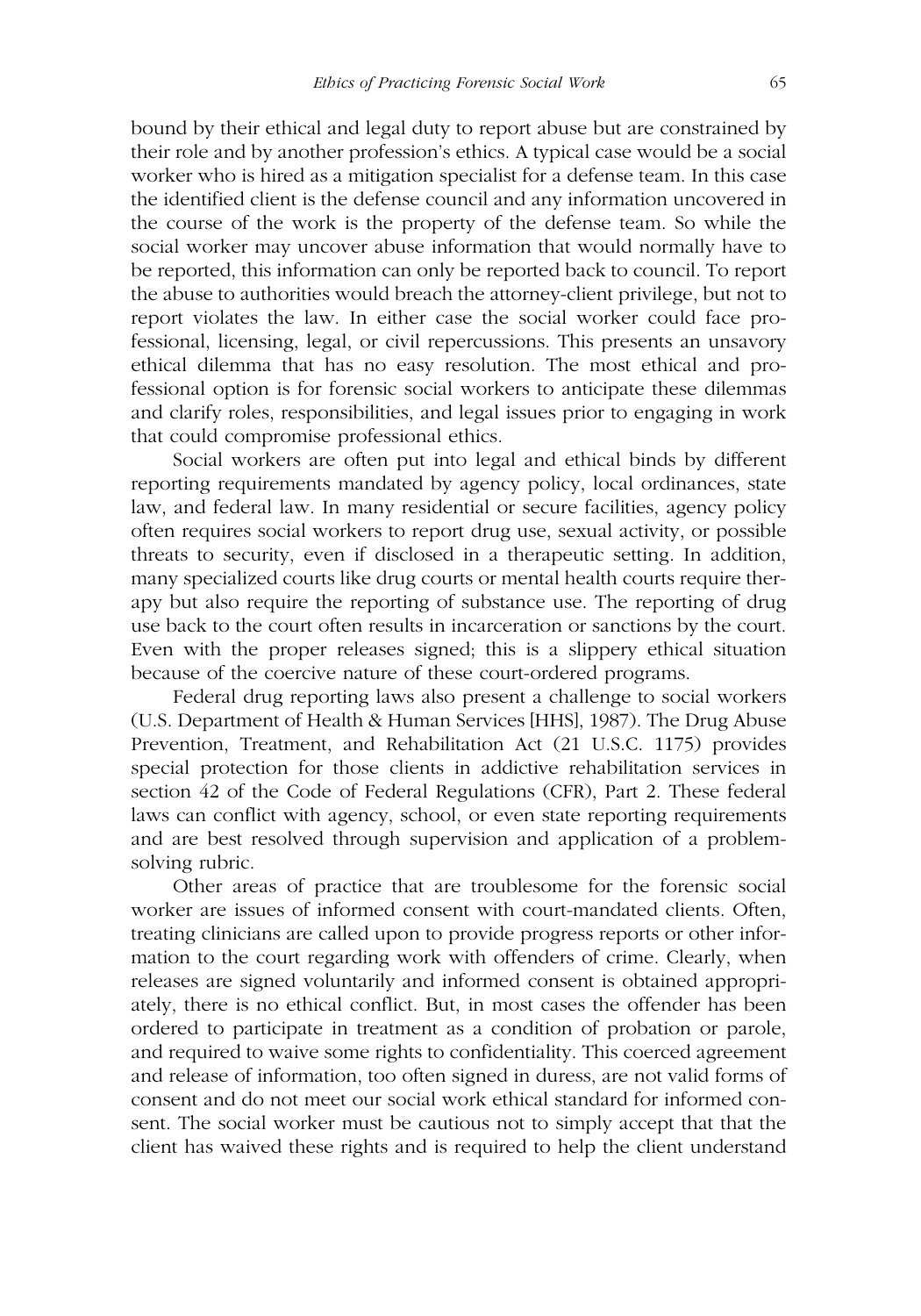bound by their ethical and legal duty to report abuse but are constrained by their role and by another profession's ethics. A typical case would be a social worker who is hired as a mitigation specialist for a defense team. In this case the identified client is the defense council and any information uncovered in the course of the work is the property of the defense team. So while the social worker may uncover abuse information that would normally have to be reported, this information can only be reported back to council. To report the abuse to authorities would breach the attorney-client privilege, but not to report violates the law. In either case the social worker could face professional, licensing, legal, or civil repercussions. This presents an unsavory ethical dilemma that has no easy resolution. The most ethical and professional option is for forensic social workers to anticipate these dilemmas and clarify roles, responsibilities, and legal issues prior to engaging in work that could compromise professional ethics.

Social workers are often put into legal and ethical binds by different reporting requirements mandated by agency policy, local ordinances, state law, and federal law. In many residential or secure facilities, agency policy often requires social workers to report drug use, sexual activity, or possible threats to security, even if disclosed in a therapeutic setting. In addition, many specialized courts like drug courts or mental health courts require therapy but also require the reporting of substance use. The reporting of drug use back to the court often results in incarceration or sanctions by the court. Even with the proper releases signed; this is a slippery ethical situation because of the coercive nature of these court-ordered programs.

Federal drug reporting laws also present a challenge to social workers (U.S. Department of Health & Human Services [HHS], 1987). The Drug Abuse Prevention, Treatment, and Rehabilitation Act (21 U.S.C. 1175) provides special protection for those clients in addictive rehabilitation services in section 42 of the Code of Federal Regulations (CFR), Part 2. These federal laws can conflict with agency, school, or even state reporting requirements and are best resolved through supervision and application of a problemsolving rubric.

Other areas of practice that are troublesome for the forensic social worker are issues of informed consent with court-mandated clients. Often, treating clinicians are called upon to provide progress reports or other information to the court regarding work with offenders of crime. Clearly, when releases are signed voluntarily and informed consent is obtained appropriately, there is no ethical conflict. But, in most cases the offender has been ordered to participate in treatment as a condition of probation or parole, and required to waive some rights to confidentiality. This coerced agreement and release of information, too often signed in duress, are not valid forms of consent and do not meet our social work ethical standard for informed consent. The social worker must be cautious not to simply accept that that the client has waived these rights and is required to help the client understand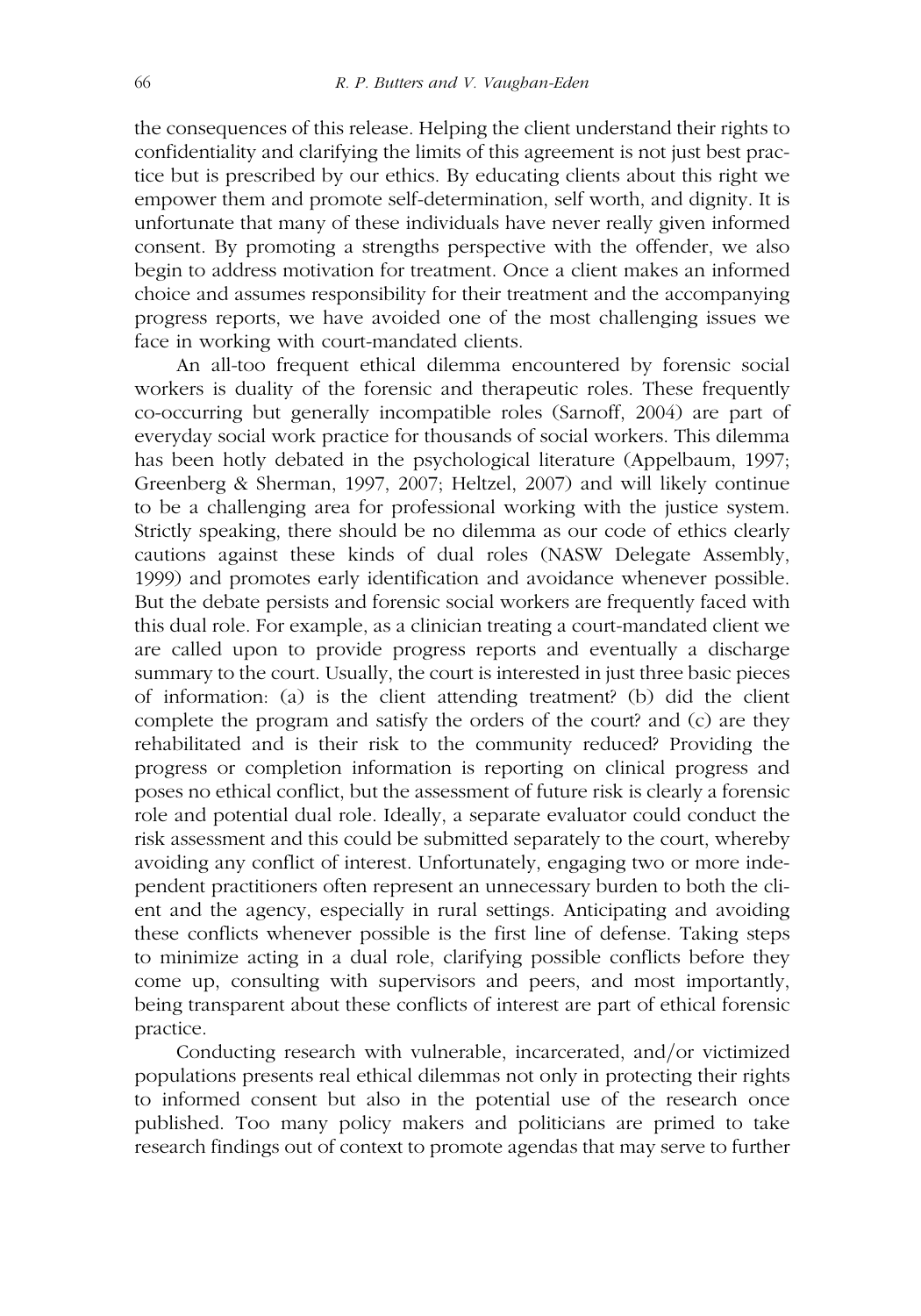the consequences of this release. Helping the client understand their rights to confidentiality and clarifying the limits of this agreement is not just best practice but is prescribed by our ethics. By educating clients about this right we empower them and promote self-determination, self worth, and dignity. It is unfortunate that many of these individuals have never really given informed consent. By promoting a strengths perspective with the offender, we also begin to address motivation for treatment. Once a client makes an informed choice and assumes responsibility for their treatment and the accompanying progress reports, we have avoided one of the most challenging issues we face in working with court-mandated clients.

An all-too frequent ethical dilemma encountered by forensic social workers is duality of the forensic and therapeutic roles. These frequently co-occurring but generally incompatible roles (Sarnoff, 2004) are part of everyday social work practice for thousands of social workers. This dilemma has been hotly debated in the psychological literature (Appelbaum, 1997; Greenberg & Sherman, 1997, 2007; Heltzel, 2007) and will likely continue to be a challenging area for professional working with the justice system. Strictly speaking, there should be no dilemma as our code of ethics clearly cautions against these kinds of dual roles (NASW Delegate Assembly, 1999) and promotes early identification and avoidance whenever possible. But the debate persists and forensic social workers are frequently faced with this dual role. For example, as a clinician treating a court-mandated client we are called upon to provide progress reports and eventually a discharge summary to the court. Usually, the court is interested in just three basic pieces of information: (a) is the client attending treatment? (b) did the client complete the program and satisfy the orders of the court? and (c) are they rehabilitated and is their risk to the community reduced? Providing the progress or completion information is reporting on clinical progress and poses no ethical conflict, but the assessment of future risk is clearly a forensic role and potential dual role. Ideally, a separate evaluator could conduct the risk assessment and this could be submitted separately to the court, whereby avoiding any conflict of interest. Unfortunately, engaging two or more independent practitioners often represent an unnecessary burden to both the client and the agency, especially in rural settings. Anticipating and avoiding these conflicts whenever possible is the first line of defense. Taking steps to minimize acting in a dual role, clarifying possible conflicts before they come up, consulting with supervisors and peers, and most importantly, being transparent about these conflicts of interest are part of ethical forensic practice.

Conducting research with vulnerable, incarcerated, and/or victimized populations presents real ethical dilemmas not only in protecting their rights to informed consent but also in the potential use of the research once published. Too many policy makers and politicians are primed to take research findings out of context to promote agendas that may serve to further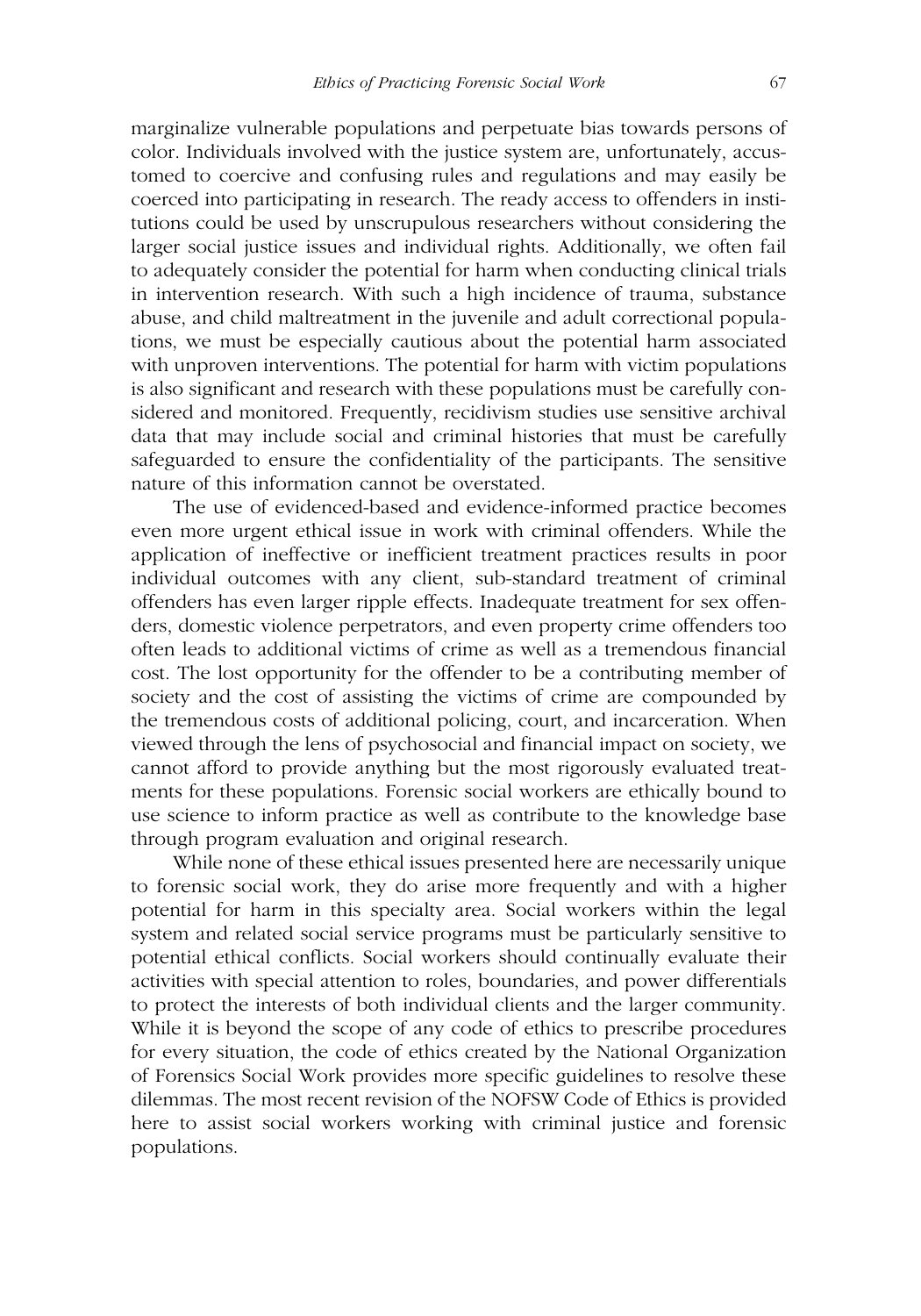marginalize vulnerable populations and perpetuate bias towards persons of color. Individuals involved with the justice system are, unfortunately, accustomed to coercive and confusing rules and regulations and may easily be coerced into participating in research. The ready access to offenders in institutions could be used by unscrupulous researchers without considering the larger social justice issues and individual rights. Additionally, we often fail to adequately consider the potential for harm when conducting clinical trials in intervention research. With such a high incidence of trauma, substance abuse, and child maltreatment in the juvenile and adult correctional populations, we must be especially cautious about the potential harm associated with unproven interventions. The potential for harm with victim populations is also significant and research with these populations must be carefully considered and monitored. Frequently, recidivism studies use sensitive archival data that may include social and criminal histories that must be carefully safeguarded to ensure the confidentiality of the participants. The sensitive nature of this information cannot be overstated.

The use of evidenced-based and evidence-informed practice becomes even more urgent ethical issue in work with criminal offenders. While the application of ineffective or inefficient treatment practices results in poor individual outcomes with any client, sub-standard treatment of criminal offenders has even larger ripple effects. Inadequate treatment for sex offenders, domestic violence perpetrators, and even property crime offenders too often leads to additional victims of crime as well as a tremendous financial cost. The lost opportunity for the offender to be a contributing member of society and the cost of assisting the victims of crime are compounded by the tremendous costs of additional policing, court, and incarceration. When viewed through the lens of psychosocial and financial impact on society, we cannot afford to provide anything but the most rigorously evaluated treatments for these populations. Forensic social workers are ethically bound to use science to inform practice as well as contribute to the knowledge base through program evaluation and original research.

While none of these ethical issues presented here are necessarily unique to forensic social work, they do arise more frequently and with a higher potential for harm in this specialty area. Social workers within the legal system and related social service programs must be particularly sensitive to potential ethical conflicts. Social workers should continually evaluate their activities with special attention to roles, boundaries, and power differentials to protect the interests of both individual clients and the larger community. While it is beyond the scope of any code of ethics to prescribe procedures for every situation, the code of ethics created by the National Organization of Forensics Social Work provides more specific guidelines to resolve these dilemmas. The most recent revision of the NOFSW Code of Ethics is provided here to assist social workers working with criminal justice and forensic populations.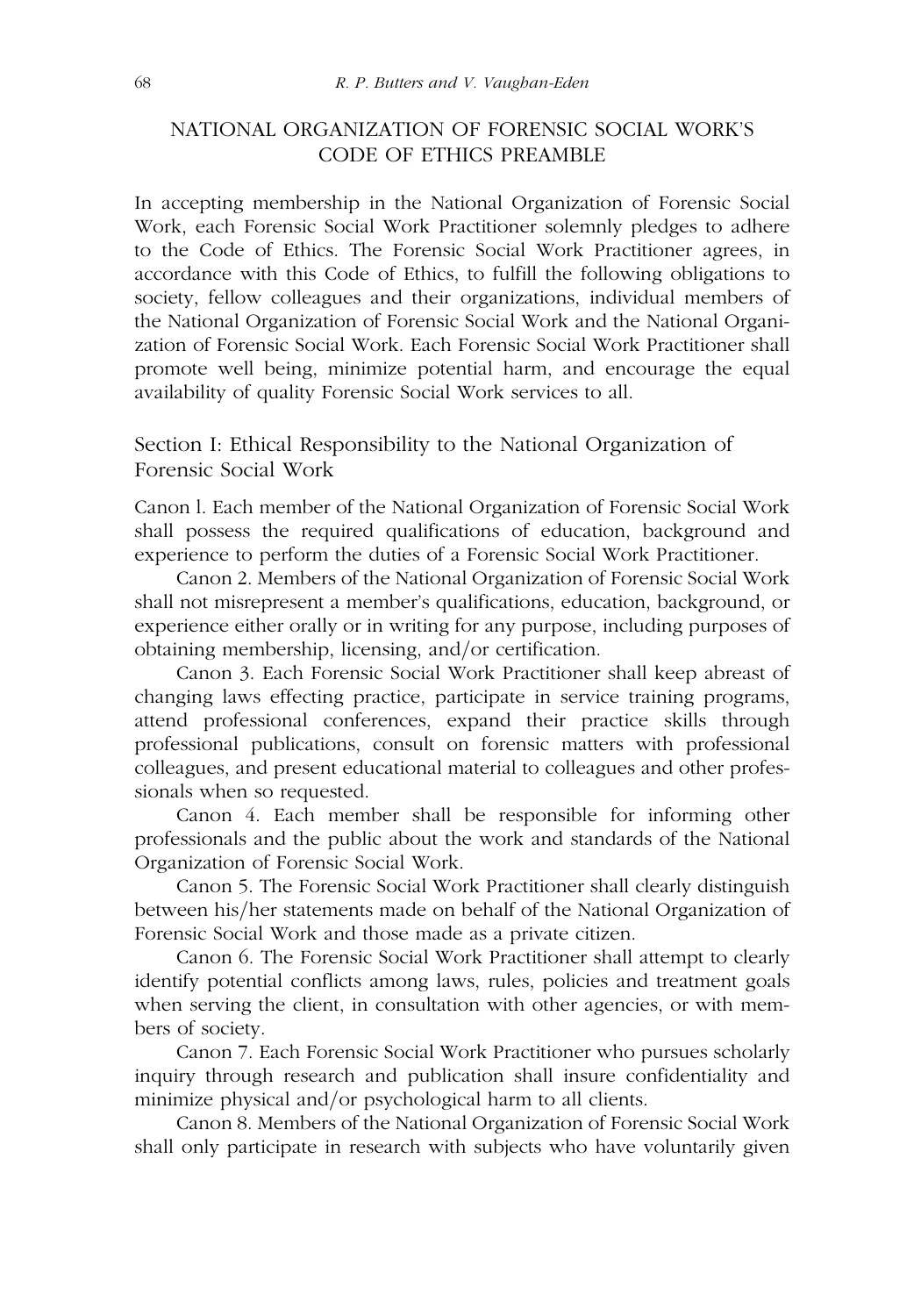# NATIONAL ORGANIZATION OF FORENSIC SOCIAL WORK'S CODE OF ETHICS PREAMBLE

In accepting membership in the National Organization of Forensic Social Work, each Forensic Social Work Practitioner solemnly pledges to adhere to the Code of Ethics. The Forensic Social Work Practitioner agrees, in accordance with this Code of Ethics, to fulfill the following obligations to society, fellow colleagues and their organizations, individual members of the National Organization of Forensic Social Work and the National Organization of Forensic Social Work. Each Forensic Social Work Practitioner shall promote well being, minimize potential harm, and encourage the equal availability of quality Forensic Social Work services to all.

# Section I: Ethical Responsibility to the National Organization of Forensic Social Work

Canon l. Each member of the National Organization of Forensic Social Work shall possess the required qualifications of education, background and experience to perform the duties of a Forensic Social Work Practitioner.

Canon 2. Members of the National Organization of Forensic Social Work shall not misrepresent a member's qualifications, education, background, or experience either orally or in writing for any purpose, including purposes of obtaining membership, licensing, and/or certification.

Canon 3. Each Forensic Social Work Practitioner shall keep abreast of changing laws effecting practice, participate in service training programs, attend professional conferences, expand their practice skills through professional publications, consult on forensic matters with professional colleagues, and present educational material to colleagues and other professionals when so requested.

Canon 4. Each member shall be responsible for informing other professionals and the public about the work and standards of the National Organization of Forensic Social Work.

Canon 5. The Forensic Social Work Practitioner shall clearly distinguish between his/her statements made on behalf of the National Organization of Forensic Social Work and those made as a private citizen.

Canon 6. The Forensic Social Work Practitioner shall attempt to clearly identify potential conflicts among laws, rules, policies and treatment goals when serving the client, in consultation with other agencies, or with members of society.

Canon 7. Each Forensic Social Work Practitioner who pursues scholarly inquiry through research and publication shall insure confidentiality and minimize physical and/or psychological harm to all clients.

Canon 8. Members of the National Organization of Forensic Social Work shall only participate in research with subjects who have voluntarily given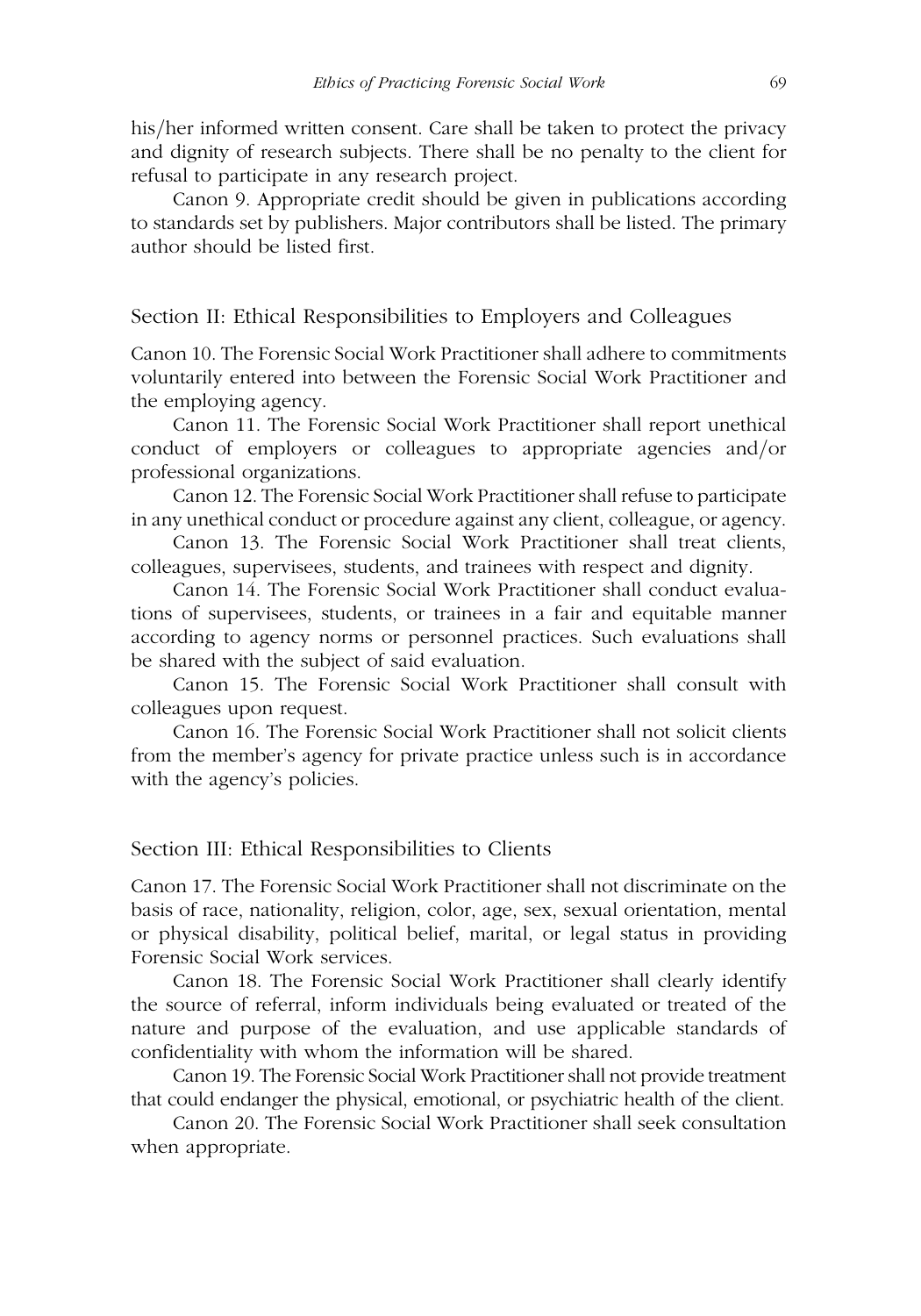his/her informed written consent. Care shall be taken to protect the privacy and dignity of research subjects. There shall be no penalty to the client for refusal to participate in any research project.

Canon 9. Appropriate credit should be given in publications according to standards set by publishers. Major contributors shall be listed. The primary author should be listed first.

### Section II: Ethical Responsibilities to Employers and Colleagues

Canon 10. The Forensic Social Work Practitioner shall adhere to commitments voluntarily entered into between the Forensic Social Work Practitioner and the employing agency.

Canon 11. The Forensic Social Work Practitioner shall report unethical conduct of employers or colleagues to appropriate agencies and/or professional organizations.

Canon 12. The Forensic Social Work Practitioner shall refuse to participate in any unethical conduct or procedure against any client, colleague, or agency.

Canon 13. The Forensic Social Work Practitioner shall treat clients, colleagues, supervisees, students, and trainees with respect and dignity.

Canon 14. The Forensic Social Work Practitioner shall conduct evaluations of supervisees, students, or trainees in a fair and equitable manner according to agency norms or personnel practices. Such evaluations shall be shared with the subject of said evaluation.

Canon 15. The Forensic Social Work Practitioner shall consult with colleagues upon request.

Canon 16. The Forensic Social Work Practitioner shall not solicit clients from the member's agency for private practice unless such is in accordance with the agency's policies.

Section III: Ethical Responsibilities to Clients

Canon 17. The Forensic Social Work Practitioner shall not discriminate on the basis of race, nationality, religion, color, age, sex, sexual orientation, mental or physical disability, political belief, marital, or legal status in providing Forensic Social Work services.

Canon 18. The Forensic Social Work Practitioner shall clearly identify the source of referral, inform individuals being evaluated or treated of the nature and purpose of the evaluation, and use applicable standards of confidentiality with whom the information will be shared.

Canon 19. The Forensic Social Work Practitioner shall not provide treatment that could endanger the physical, emotional, or psychiatric health of the client.

Canon 20. The Forensic Social Work Practitioner shall seek consultation when appropriate.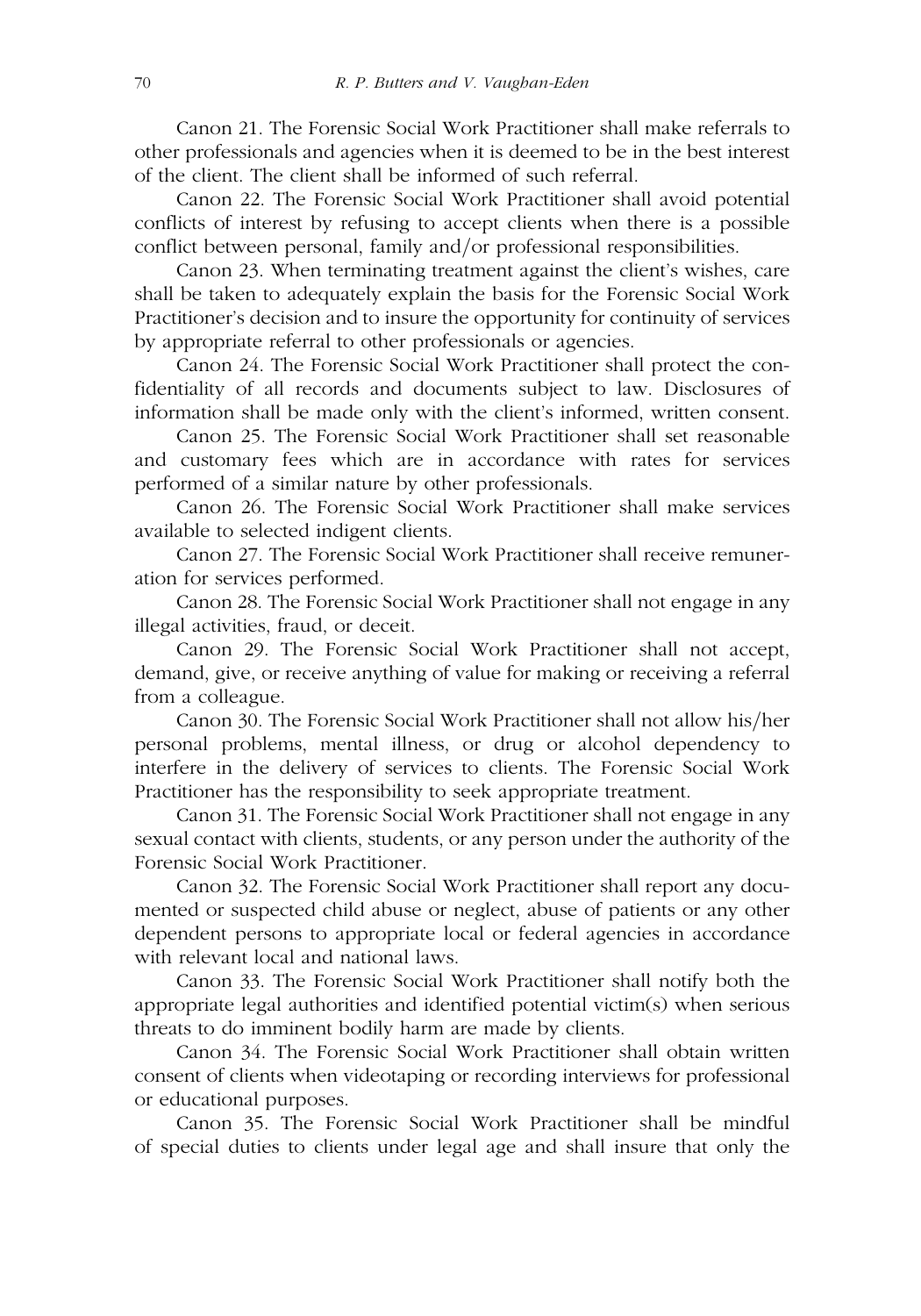Canon 21. The Forensic Social Work Practitioner shall make referrals to other professionals and agencies when it is deemed to be in the best interest of the client. The client shall be informed of such referral.

Canon 22. The Forensic Social Work Practitioner shall avoid potential conflicts of interest by refusing to accept clients when there is a possible conflict between personal, family and/or professional responsibilities.

Canon 23. When terminating treatment against the client's wishes, care shall be taken to adequately explain the basis for the Forensic Social Work Practitioner's decision and to insure the opportunity for continuity of services by appropriate referral to other professionals or agencies.

Canon 24. The Forensic Social Work Practitioner shall protect the confidentiality of all records and documents subject to law. Disclosures of information shall be made only with the client's informed, written consent.

Canon 25. The Forensic Social Work Practitioner shall set reasonable and customary fees which are in accordance with rates for services performed of a similar nature by other professionals.

Canon 26. The Forensic Social Work Practitioner shall make services available to selected indigent clients.

Canon 27. The Forensic Social Work Practitioner shall receive remuneration for services performed.

Canon 28. The Forensic Social Work Practitioner shall not engage in any illegal activities, fraud, or deceit.

Canon 29. The Forensic Social Work Practitioner shall not accept, demand, give, or receive anything of value for making or receiving a referral from a colleague.

Canon 30. The Forensic Social Work Practitioner shall not allow his/her personal problems, mental illness, or drug or alcohol dependency to interfere in the delivery of services to clients. The Forensic Social Work Practitioner has the responsibility to seek appropriate treatment.

Canon 31. The Forensic Social Work Practitioner shall not engage in any sexual contact with clients, students, or any person under the authority of the Forensic Social Work Practitioner.

Canon 32. The Forensic Social Work Practitioner shall report any documented or suspected child abuse or neglect, abuse of patients or any other dependent persons to appropriate local or federal agencies in accordance with relevant local and national laws.

Canon 33. The Forensic Social Work Practitioner shall notify both the appropriate legal authorities and identified potential victim(s) when serious threats to do imminent bodily harm are made by clients.

Canon 34. The Forensic Social Work Practitioner shall obtain written consent of clients when videotaping or recording interviews for professional or educational purposes.

Canon 35. The Forensic Social Work Practitioner shall be mindful of special duties to clients under legal age and shall insure that only the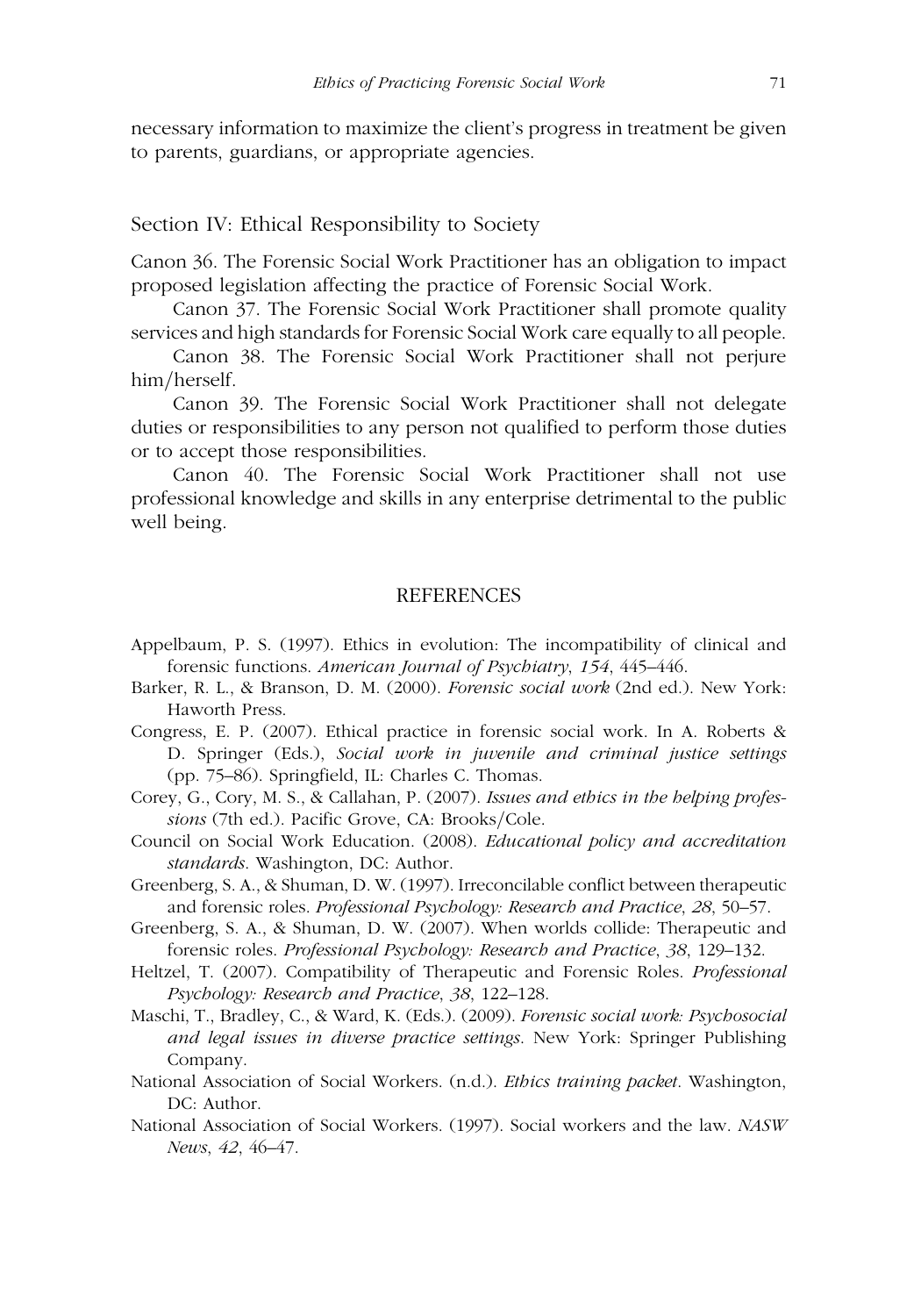necessary information to maximize the client's progress in treatment be given to parents, guardians, or appropriate agencies.

### Section IV: Ethical Responsibility to Society

Canon 36. The Forensic Social Work Practitioner has an obligation to impact proposed legislation affecting the practice of Forensic Social Work.

Canon 37. The Forensic Social Work Practitioner shall promote quality services and high standards for Forensic Social Work care equally to all people.

Canon 38. The Forensic Social Work Practitioner shall not perjure him/herself.

Canon 39. The Forensic Social Work Practitioner shall not delegate duties or responsibilities to any person not qualified to perform those duties or to accept those responsibilities.

Canon 40. The Forensic Social Work Practitioner shall not use professional knowledge and skills in any enterprise detrimental to the public well being.

### REFERENCES

- Appelbaum, P. S. (1997). Ethics in evolution: The incompatibility of clinical and forensic functions. American Journal of Psychiatry, 154, 445–446.
- Barker, R. L., & Branson, D. M. (2000). Forensic social work (2nd ed.). New York: Haworth Press.
- Congress, E. P. (2007). Ethical practice in forensic social work. In A. Roberts & D. Springer (Eds.), Social work in juvenile and criminal justice settings (pp. 75–86). Springfield, IL: Charles C. Thomas.
- Corey, G., Cory, M. S., & Callahan, P. (2007). Issues and ethics in the helping professions (7th ed.). Pacific Grove, CA: Brooks/Cole.
- Council on Social Work Education. (2008). Educational policy and accreditation standards. Washington, DC: Author.
- Greenberg, S. A., & Shuman, D. W. (1997). Irreconcilable conflict between therapeutic and forensic roles. Professional Psychology: Research and Practice, 28, 50–57.
- Greenberg, S. A., & Shuman, D. W. (2007). When worlds collide: Therapeutic and forensic roles. Professional Psychology: Research and Practice, 38, 129–132.
- Heltzel, T. (2007). Compatibility of Therapeutic and Forensic Roles. Professional Psychology: Research and Practice, 38, 122–128.
- Maschi, T., Bradley, C., & Ward, K. (Eds.). (2009). Forensic social work: Psychosocial and legal issues in diverse practice settings. New York: Springer Publishing Company.
- National Association of Social Workers. (n.d.). Ethics training packet. Washington, DC: Author.
- National Association of Social Workers. (1997). Social workers and the law. NASW News, 42, 46–47.